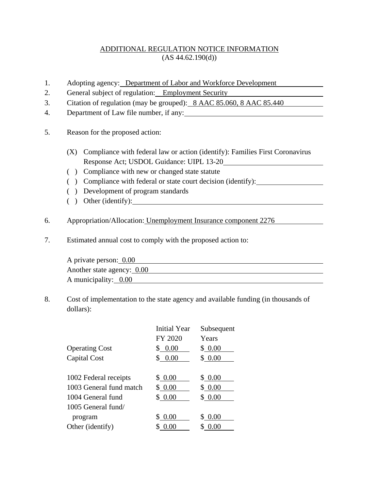## ADDITIONAL REGULATION NOTICE INFORMATION  $(AS 44.62.190(d))$

- 1. Adopting agency: Department of Labor and Workforce Development
- 2. General subject of regulation: Employment Security
- 3. Citation of regulation (may be grouped): 8 AAC 85.060, 8 AAC 85.440
- 4. Department of Law file number, if any:
- 5. Reason for the proposed action:
	- (X) Compliance with federal law or action (identify): Families First Coronavirus Response Act; USDOL Guidance: UIPL 13-20
	- ( ) Compliance with new or changed state statute
	- ( ) Compliance with federal or state court decision (identify):
	- ( ) Development of program standards
	- ( ) Other (identify):
- 6. Appropriation/Allocation: Unemployment Insurance component 2276
- 7. Estimated annual cost to comply with the proposed action to:

| A private person: 0.00     |  |
|----------------------------|--|
| Another state agency: 0.00 |  |
| A municipality: $0.00$     |  |

8. Cost of implementation to the state agency and available funding (in thousands of dollars):

|                         | <b>Initial Year</b> | Subsequent |
|-------------------------|---------------------|------------|
|                         | FY 2020             | Years      |
| <b>Operating Cost</b>   | \$0.00              | \$0.00     |
| Capital Cost            | \$0.00              | \$0.00     |
|                         |                     |            |
| 1002 Federal receipts   | \$0.00              | \$0.00     |
| 1003 General fund match | \$0.00              | \$0.00     |
| 1004 General fund       | \$0.00              | \$0.00     |
| $1005$ General fund/    |                     |            |
| program                 | \$ 0.00             | \$0.00     |
| Other (identify)        | 0.00                | 0.00       |